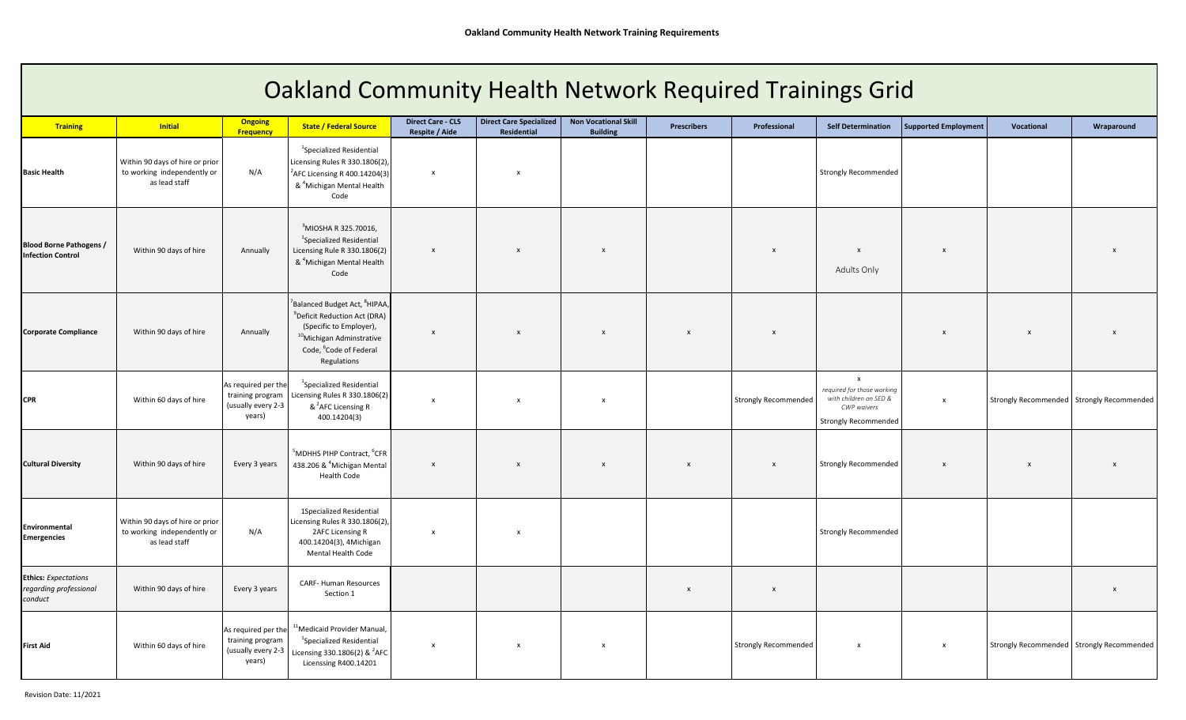| <b>Oakland Community Health Network Required Trainings Grid</b>  |                                                                                 |                                                                         |                                                                                                                                                                                                             |                                            |                                               |                                                |                    |                             |                                                                                                                    |                             |              |                                           |
|------------------------------------------------------------------|---------------------------------------------------------------------------------|-------------------------------------------------------------------------|-------------------------------------------------------------------------------------------------------------------------------------------------------------------------------------------------------------|--------------------------------------------|-----------------------------------------------|------------------------------------------------|--------------------|-----------------------------|--------------------------------------------------------------------------------------------------------------------|-----------------------------|--------------|-------------------------------------------|
| <b>Training</b>                                                  | <b>Initial</b>                                                                  | <b>Ongoing</b><br>Frequency                                             | <b>State / Federal Source</b>                                                                                                                                                                               | <b>Direct Care - CLS</b><br>Respite / Aide | <b>Direct Care Specialized</b><br>Residential | <b>Non Vocational Skill</b><br><b>Building</b> | <b>Prescribers</b> | Professional                | <b>Self Determination</b>                                                                                          | <b>Supported Employment</b> | Vocational   | Wraparound                                |
| <b>Basic Health</b>                                              | Within 90 days of hire or prior<br>to working independently or<br>as lead staff | N/A                                                                     | $1$ Specialized Residential<br>Licensing Rules R 330.1806(2),<br>$2$ AFC Licensing R 400.14204(3)<br>& <sup>4</sup> Michigan Mental Health<br>Code                                                          | $\mathsf{x}$                               | $\boldsymbol{\mathsf{x}}$                     |                                                |                    |                             | <b>Strongly Recommended</b>                                                                                        |                             |              |                                           |
| <b>Blood Borne Pathogens /</b><br><b>Infection Control</b>       | Within 90 days of hire                                                          | Annually                                                                | <sup>3</sup> MIOSHA R 325.70016,<br><sup>1</sup> Specialized Residential<br>Licensing Rule R 330.1806(2)<br>& <sup>4</sup> Michigan Mental Health<br>Code                                                   | $\mathsf{x}$                               | $\boldsymbol{\mathsf{x}}$                     | $\boldsymbol{\mathsf{x}}$                      |                    | $\boldsymbol{\mathsf{x}}$   | $\boldsymbol{\mathsf{x}}$<br><b>Adults Only</b>                                                                    | $\boldsymbol{\mathsf{x}}$   |              |                                           |
| <b>Corporate Compliance</b>                                      | Within 90 days of hire                                                          | Annually                                                                | Balanced Budget Act, <sup>8</sup> HIPAA<br><sup>9</sup> Deficit Reduction Act (DRA)<br>(Specific to Employer),<br><sup>10</sup> Michigan Adminstrative<br>Code, <sup>6</sup> Code of Federal<br>Regulations | $\mathsf{x}$                               | $\boldsymbol{\mathsf{x}}$                     | $\boldsymbol{\mathsf{x}}$                      | $\mathbf{x}$       | $\boldsymbol{x}$            |                                                                                                                    | $\mathsf{x}$                | X            |                                           |
| <b>CPR</b>                                                       | Within 60 days of hire                                                          | As required per the<br>training program<br>(usually every 2-3<br>years) | <sup>1</sup> Specialized Residential<br>Licensing Rules R 330.1806(2)<br>& <sup>2</sup> AFC Licensing R<br>400.14204(3)                                                                                     | $\boldsymbol{\mathsf{x}}$                  | $\boldsymbol{\mathsf{x}}$                     | $\boldsymbol{\mathsf{x}}$                      |                    | <b>Strongly Recommended</b> | $\mathsf{x}$<br>required for those working<br>with children on SED &<br>CWP waivers<br><b>Strongly Recommended</b> | $\boldsymbol{\mathsf{X}}$   |              | Strongly Recommended Strongly Recommended |
| <b>Cultural Diversity</b>                                        | Within 90 days of hire                                                          | Every 3 years                                                           | <sup>5</sup> MDHHS PIHP Contract, <sup>6</sup> CFR<br>438.206 & <sup>4</sup> Michigan Mental<br><b>Health Code</b>                                                                                          | $\mathsf{x}$                               | $\mathsf{x}$                                  | $\boldsymbol{\mathsf{x}}$                      | $\mathbf{x}$       | $\mathsf{x}$                | <b>Strongly Recommended</b>                                                                                        | $\boldsymbol{\mathsf{x}}$   | $\mathsf{x}$ | $\boldsymbol{x}$                          |
| Environmental<br><b>Emergencies</b>                              | Within 90 days of hire or prior<br>to working independently or<br>as lead staff | N/A                                                                     | 1Specialized Residential<br>Licensing Rules R 330.1806(2),<br>2AFC Licensing R<br>400.14204(3), 4Michigan<br>Mental Health Code                                                                             | $\mathsf{x}$                               | $\mathsf{x}$                                  |                                                |                    |                             | <b>Strongly Recommended</b>                                                                                        |                             |              |                                           |
| <b>Ethics:</b> Expectations<br>regarding professional<br>conduct | Within 90 days of hire                                                          | Every 3 years                                                           | CARF-Human Resources<br>Section 1                                                                                                                                                                           |                                            |                                               |                                                | $\mathsf{x}$       | $\mathsf{x}$                |                                                                                                                    |                             |              | $\mathsf{x}$                              |
| <b>First Aid</b>                                                 | Within 60 days of hire                                                          | As required per the<br>training program<br>(usually every 2-3<br>years) | <sup>1</sup> Medicaid Provider Manual,<br><sup>1</sup> Specialized Residential<br>Licensing 330.1806(2) & <sup>2</sup> AFC<br>Licenssing R400.14201                                                         | $\boldsymbol{\mathsf{x}}$                  | $\mathsf{x}$                                  | $\pmb{\chi}$                                   |                    | <b>Strongly Recommended</b> | $\boldsymbol{\mathsf{x}}$                                                                                          | $\boldsymbol{\mathsf{x}}$   |              | Strongly Recommended Strongly Recommended |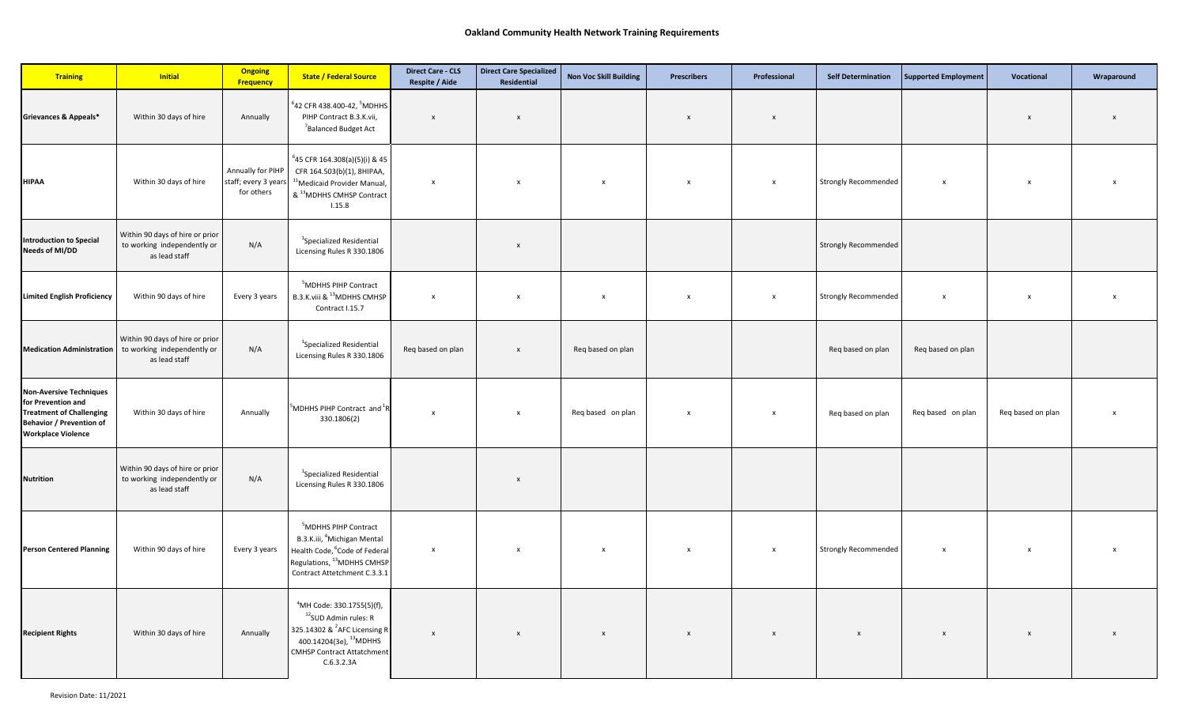| <b>Training</b>                                                                                                                                         | <b>Initial</b>                                                                  | <b>Ongoing</b><br><b>Frequency</b>                      | <b>State / Federal Source</b>                                                                                                                                                                                  | <b>Direct Care - CLS</b><br>Respite / Aide | <b>Direct Care Specialized</b><br>Residential | <b>Non Voc Skill Building</b> | <b>Prescribers</b>        | Professional              | <b>Self Determination</b>   | Supported Employment      | Vocational                | Wraparound                |
|---------------------------------------------------------------------------------------------------------------------------------------------------------|---------------------------------------------------------------------------------|---------------------------------------------------------|----------------------------------------------------------------------------------------------------------------------------------------------------------------------------------------------------------------|--------------------------------------------|-----------------------------------------------|-------------------------------|---------------------------|---------------------------|-----------------------------|---------------------------|---------------------------|---------------------------|
| Grievances & Appeals*                                                                                                                                   | Within 30 days of hire                                                          | Annually                                                | $^6$ 42 CFR 438.400-42, $^5$ MDHHS<br>PIHP Contract B.3.K.vii,<br><sup>7</sup> Balanced Budget Act                                                                                                             | $\mathbf{x}$                               | $\boldsymbol{x}$                              |                               | $\boldsymbol{x}$          | $\boldsymbol{\mathsf{x}}$ |                             |                           | $\mathbf{x}$              | $\boldsymbol{x}$          |
| <b>HIPAA</b>                                                                                                                                            | Within 30 days of hire                                                          | Annually for PIHP<br>staff; every 3 years<br>for others | <sup>6</sup> 45 CFR 164.308(a)(5)(i) & 45<br>CFR 164.503(b)(1), 8HIPAA,<br><sup>11</sup> Medicaid Provider Manual,<br>& <sup>13</sup> MDHHS CMHSP Contract<br>1.15.8                                           | $\mathsf{x}$                               | $\boldsymbol{\mathsf{x}}$                     | X                             | $\pmb{\chi}$              | $\pmb{\times}$            | <b>Strongly Recommended</b> | $\boldsymbol{\mathsf{x}}$ | $\boldsymbol{\mathsf{x}}$ | X                         |
| <b>Introduction to Special</b><br>Needs of MI/DD                                                                                                        | Within 90 days of hire or prior<br>to working independently or<br>as lead staff | N/A                                                     | <sup>1</sup> Specialized Residential<br>Licensing Rules R 330.1806                                                                                                                                             |                                            | $\pmb{\times}$                                |                               |                           |                           | <b>Strongly Recommended</b> |                           |                           |                           |
| <b>Limited English Proficiency</b>                                                                                                                      | Within 90 days of hire                                                          | Every 3 years                                           | <sup>5</sup> MDHHS PIHP Contract<br>B.3.K.viii & <sup>13</sup> MDHHS CMHSP<br>Contract I.15.7                                                                                                                  | $\boldsymbol{\mathsf{x}}$                  | X                                             | X                             | $\boldsymbol{\mathsf{x}}$ | $\boldsymbol{\mathsf{x}}$ | Strongly Recommended        | $\boldsymbol{\mathsf{x}}$ | $\mathsf{x}$              | $\boldsymbol{\mathsf{x}}$ |
| <b>Medication Administration</b>                                                                                                                        | Within 90 days of hire or prior<br>to working independently or<br>as lead staff | N/A                                                     | <sup>1</sup> Specialized Residential<br>Licensing Rules R 330.1806                                                                                                                                             | Req based on plan                          | $\pmb{\times}$                                | Req based on plan             |                           |                           | Req based on plan           | Req based on plan         |                           |                           |
| <b>Non-Aversive Techniques</b><br>for Prevention and<br><b>Treatment of Challenging</b><br><b>Behavior / Prevention of</b><br><b>Workplace Violence</b> | Within 30 days of hire                                                          | Annually                                                | MDHHS PIHP Contract and <sup>1</sup> F<br>330.1806(2)                                                                                                                                                          | $\boldsymbol{\mathsf{x}}$                  | $\boldsymbol{\mathsf{x}}$                     | Req based on plan             | x                         | $\pmb{\times}$            | Reg based on plan           | Req based on plan         | Req based on plan         | x                         |
| <b>Nutrition</b>                                                                                                                                        | Within 90 days of hire or prior<br>to working independently or<br>as lead staff | N/A                                                     | <sup>1</sup> Specialized Residential<br>Licensing Rules R 330.1806                                                                                                                                             |                                            | $\boldsymbol{\mathsf{x}}$                     |                               |                           |                           |                             |                           |                           |                           |
| <b>Person Centered Planning</b>                                                                                                                         | Within 90 days of hire                                                          | Every 3 years                                           | <sup>5</sup> MDHHS PIHP Contract<br>B.3.K.iii, <sup>4</sup> Michigan Mental<br>Health Code, <sup>6</sup> Code of Federal<br>Regulations, <sup>13</sup> MDHHS CMHSP<br>Contract Attetchment C.3.3.1             | $\mathsf{x}$                               | $\boldsymbol{\mathsf{x}}$                     | $\boldsymbol{\mathsf{x}}$     | $\mathsf{x}$              | $\pmb{\times}$            | <b>Strongly Recommended</b> | $\boldsymbol{\mathsf{x}}$ | $\mathsf{x}$              |                           |
| <b>Recipient Rights</b>                                                                                                                                 | Within 30 days of hire                                                          | Annually                                                | <sup>4</sup> MH Code: 330.1755(5)(f),<br><sup>12</sup> SUD Admin rules: R<br>325.14302 & <sup>2</sup> AFC Licensing R<br>400.14204(3e), <sup>13</sup> MDHHS<br><b>CMHSP Contract Attatchment</b><br>C.6.3.2.3A | $\pmb{\mathsf{x}}$                         | $\pmb{\times}$                                | $\boldsymbol{\mathsf{x}}$     | $\boldsymbol{\mathsf{x}}$ | $\mathsf X$               | $\pmb{\times}$              | $\mathsf{x}$              | $\boldsymbol{\mathsf{x}}$ |                           |